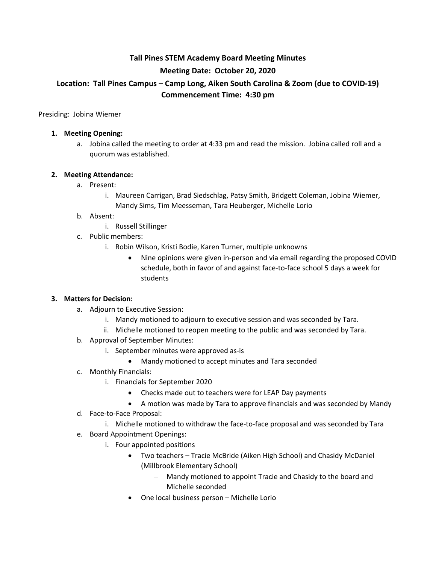# **Tall Pines STEM Academy Board Meeting Minutes Meeting Date: October 20, 2020 Location: Tall Pines Campus – Camp Long, Aiken South Carolina & Zoom (due to COVID-19) Commencement Time: 4:30 pm**

Presiding: Jobina Wiemer

#### **1. Meeting Opening:**

a. Jobina called the meeting to order at 4:33 pm and read the mission. Jobina called roll and a quorum was established.

#### **2. Meeting Attendance:**

- a. Present:
	- i. Maureen Carrigan, Brad Siedschlag, Patsy Smith, Bridgett Coleman, Jobina Wiemer, Mandy Sims, Tim Meesseman, Tara Heuberger, Michelle Lorio

#### b. Absent:

- i. Russell Stillinger
- c. Public members:
	- i. Robin Wilson, Kristi Bodie, Karen Turner, multiple unknowns
		- Nine opinions were given in-person and via email regarding the proposed COVID schedule, both in favor of and against face-to-face school 5 days a week for students

#### **3. Matters for Decision:**

- a. Adjourn to Executive Session:
	- i. Mandy motioned to adjourn to executive session and was seconded by Tara.
	- ii. Michelle motioned to reopen meeting to the public and was seconded by Tara.
- b. Approval of September Minutes:
	- i. September minutes were approved as-is
		- Mandy motioned to accept minutes and Tara seconded
- c. Monthly Financials:
	- i. Financials for September 2020
		- Checks made out to teachers were for LEAP Day payments
		- A motion was made by Tara to approve financials and was seconded by Mandy
- d. Face-to-Face Proposal:
	- i. Michelle motioned to withdraw the face-to-face proposal and was seconded by Tara
- e. Board Appointment Openings:
	- i. Four appointed positions
		- Two teachers Tracie McBride (Aiken High School) and Chasidy McDaniel (Millbrook Elementary School)
			- Mandy motioned to appoint Tracie and Chasidy to the board and Michelle seconded
		- One local business person Michelle Lorio